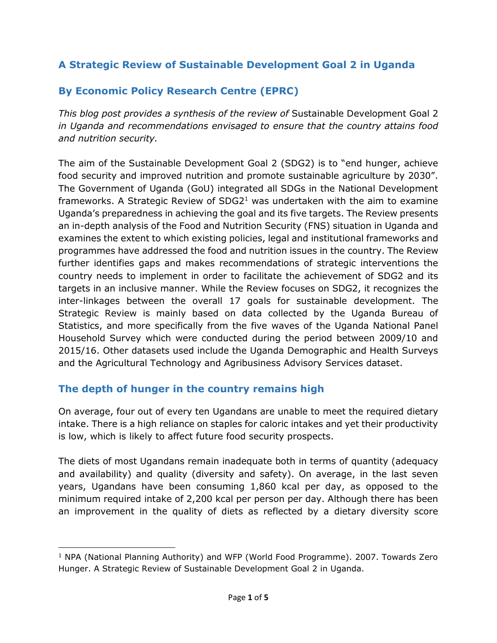### **A Strategic Review of Sustainable Development Goal 2 in Uganda**

## **By Economic Policy Research Centre (EPRC)**

*This blog post provides a synthesis of the review of* Sustainable Development Goal 2 *in Uganda and recommendations envisaged to ensure that the country attains food and nutrition security.*

The aim of the Sustainable Development Goal 2 (SDG2) is to "end hunger, achieve food security and improved nutrition and promote sustainable agriculture by 2030". The Government of Uganda (GoU) integrated all SDGs in the National Development frameworks. A Strategic Review of  $SDG2<sup>1</sup>$  was undertaken with the aim to examine Uganda's preparedness in achieving the goal and its five targets. The Review presents an in-depth analysis of the Food and Nutrition Security (FNS) situation in Uganda and examines the extent to which existing policies, legal and institutional frameworks and programmes have addressed the food and nutrition issues in the country. The Review further identifies gaps and makes recommendations of strategic interventions the country needs to implement in order to facilitate the achievement of SDG2 and its targets in an inclusive manner. While the Review focuses on SDG2, it recognizes the inter-linkages between the overall 17 goals for sustainable development. The Strategic Review is mainly based on data collected by the Uganda Bureau of Statistics, and more specifically from the five waves of the Uganda National Panel Household Survey which were conducted during the period between 2009/10 and 2015/16. Other datasets used include the Uganda Demographic and Health Surveys and the Agricultural Technology and Agribusiness Advisory Services dataset.

### **The depth of hunger in the country remains high**

 $\overline{a}$ 

On average, four out of every ten Ugandans are unable to meet the required dietary intake. There is a high reliance on staples for caloric intakes and yet their productivity is low, which is likely to affect future food security prospects.

The diets of most Ugandans remain inadequate both in terms of quantity (adequacy and availability) and quality (diversity and safety). On average, in the last seven years, Ugandans have been consuming 1,860 kcal per day, as opposed to the minimum required intake of 2,200 kcal per person per day. Although there has been an improvement in the quality of diets as reflected by a dietary diversity score

<sup>&</sup>lt;sup>1</sup> NPA (National Planning Authority) and WFP (World Food Programme). 2007. Towards Zero Hunger. A Strategic Review of Sustainable Development Goal 2 in Uganda.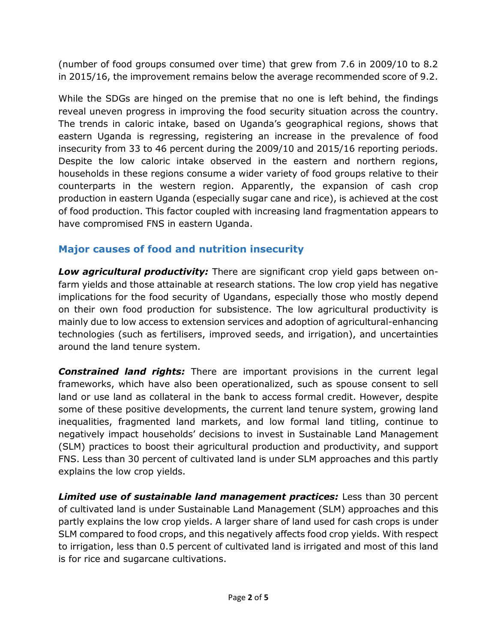(number of food groups consumed over time) that grew from 7.6 in 2009/10 to 8.2 in 2015/16, the improvement remains below the average recommended score of 9.2.

While the SDGs are hinged on the premise that no one is left behind, the findings reveal uneven progress in improving the food security situation across the country. The trends in caloric intake, based on Uganda's geographical regions, shows that eastern Uganda is regressing, registering an increase in the prevalence of food insecurity from 33 to 46 percent during the 2009/10 and 2015/16 reporting periods. Despite the low caloric intake observed in the eastern and northern regions, households in these regions consume a wider variety of food groups relative to their counterparts in the western region. Apparently, the expansion of cash crop production in eastern Uganda (especially sugar cane and rice), is achieved at the cost of food production. This factor coupled with increasing land fragmentation appears to have compromised FNS in eastern Uganda.

## **Major causes of food and nutrition insecurity**

*Low agricultural productivity:* There are significant crop yield gaps between onfarm yields and those attainable at research stations. The low crop yield has negative implications for the food security of Ugandans, especially those who mostly depend on their own food production for subsistence. The low agricultural productivity is mainly due to low access to extension services and adoption of agricultural-enhancing technologies (such as fertilisers, improved seeds, and irrigation), and uncertainties around the land tenure system.

*Constrained land rights:* There are important provisions in the current legal frameworks, which have also been operationalized, such as spouse consent to sell land or use land as collateral in the bank to access formal credit. However, despite some of these positive developments, the current land tenure system, growing land inequalities, fragmented land markets, and low formal land titling, continue to negatively impact households' decisions to invest in Sustainable Land Management (SLM) practices to boost their agricultural production and productivity, and support FNS. Less than 30 percent of cultivated land is under SLM approaches and this partly explains the low crop yields.

*Limited use of sustainable land management practices:* Less than 30 percent of cultivated land is under Sustainable Land Management (SLM) approaches and this partly explains the low crop yields. A larger share of land used for cash crops is under SLM compared to food crops, and this negatively affects food crop yields. With respect to irrigation, less than 0.5 percent of cultivated land is irrigated and most of this land is for rice and sugarcane cultivations.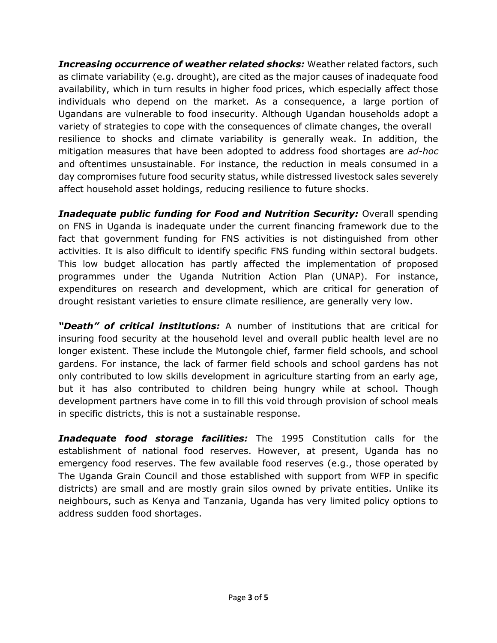*Increasing occurrence of weather related shocks:* Weather related factors, such as climate variability (e.g. drought), are cited as the major causes of inadequate food availability, which in turn results in higher food prices, which especially affect those individuals who depend on the market. As a consequence, a large portion of Ugandans are vulnerable to food insecurity. Although Ugandan households adopt a variety of strategies to cope with the consequences of climate changes, the overall resilience to shocks and climate variability is generally weak. In addition, the mitigation measures that have been adopted to address food shortages are *ad-hoc*  and oftentimes unsustainable. For instance, the reduction in meals consumed in a day compromises future food security status, while distressed livestock sales severely affect household asset holdings, reducing resilience to future shocks.

*Inadequate public funding for Food and Nutrition Security: Overall spending* on FNS in Uganda is inadequate under the current financing framework due to the fact that government funding for FNS activities is not distinguished from other activities. It is also difficult to identify specific FNS funding within sectoral budgets. This low budget allocation has partly affected the implementation of proposed programmes under the Uganda Nutrition Action Plan (UNAP). For instance, expenditures on research and development, which are critical for generation of drought resistant varieties to ensure climate resilience, are generally very low.

*"Death" of critical institutions:* A number of institutions that are critical for insuring food security at the household level and overall public health level are no longer existent. These include the Mutongole chief, farmer field schools, and school gardens. For instance, the lack of farmer field schools and school gardens has not only contributed to low skills development in agriculture starting from an early age, but it has also contributed to children being hungry while at school. Though development partners have come in to fill this void through provision of school meals in specific districts, this is not a sustainable response.

*Inadequate food storage facilities:* The 1995 Constitution calls for the establishment of national food reserves. However, at present, Uganda has no emergency food reserves. The few available food reserves (e.g., those operated by The Uganda Grain Council and those established with support from WFP in specific districts) are small and are mostly grain silos owned by private entities. Unlike its neighbours, such as Kenya and Tanzania, Uganda has very limited policy options to address sudden food shortages.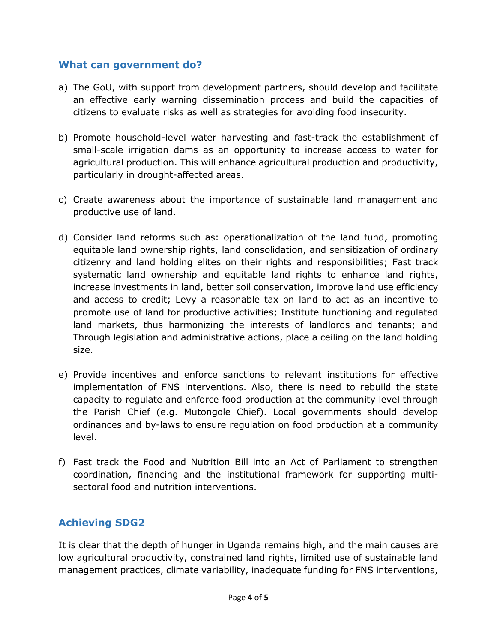#### **What can government do?**

- a) The GoU, with support from development partners, should develop and facilitate an effective early warning dissemination process and build the capacities of citizens to evaluate risks as well as strategies for avoiding food insecurity.
- b) Promote household-level water harvesting and fast-track the establishment of small-scale irrigation dams as an opportunity to increase access to water for agricultural production. This will enhance agricultural production and productivity, particularly in drought-affected areas.
- c) Create awareness about the importance of sustainable land management and productive use of land.
- d) Consider land reforms such as: operationalization of the land fund, promoting equitable land ownership rights, land consolidation, and sensitization of ordinary citizenry and land holding elites on their rights and responsibilities; Fast track systematic land ownership and equitable land rights to enhance land rights, increase investments in land, better soil conservation, improve land use efficiency and access to credit; Levy a reasonable tax on land to act as an incentive to promote use of land for productive activities; Institute functioning and regulated land markets, thus harmonizing the interests of landlords and tenants; and Through legislation and administrative actions, place a ceiling on the land holding size.
- e) Provide incentives and enforce sanctions to relevant institutions for effective implementation of FNS interventions. Also, there is need to rebuild the state capacity to regulate and enforce food production at the community level through the Parish Chief (e.g. Mutongole Chief). Local governments should develop ordinances and by-laws to ensure regulation on food production at a community level.
- f) Fast track the Food and Nutrition Bill into an Act of Parliament to strengthen coordination, financing and the institutional framework for supporting multisectoral food and nutrition interventions.

# **Achieving SDG2**

It is clear that the depth of hunger in Uganda remains high, and the main causes are low agricultural productivity, constrained land rights, limited use of sustainable land management practices, climate variability, inadequate funding for FNS interventions,